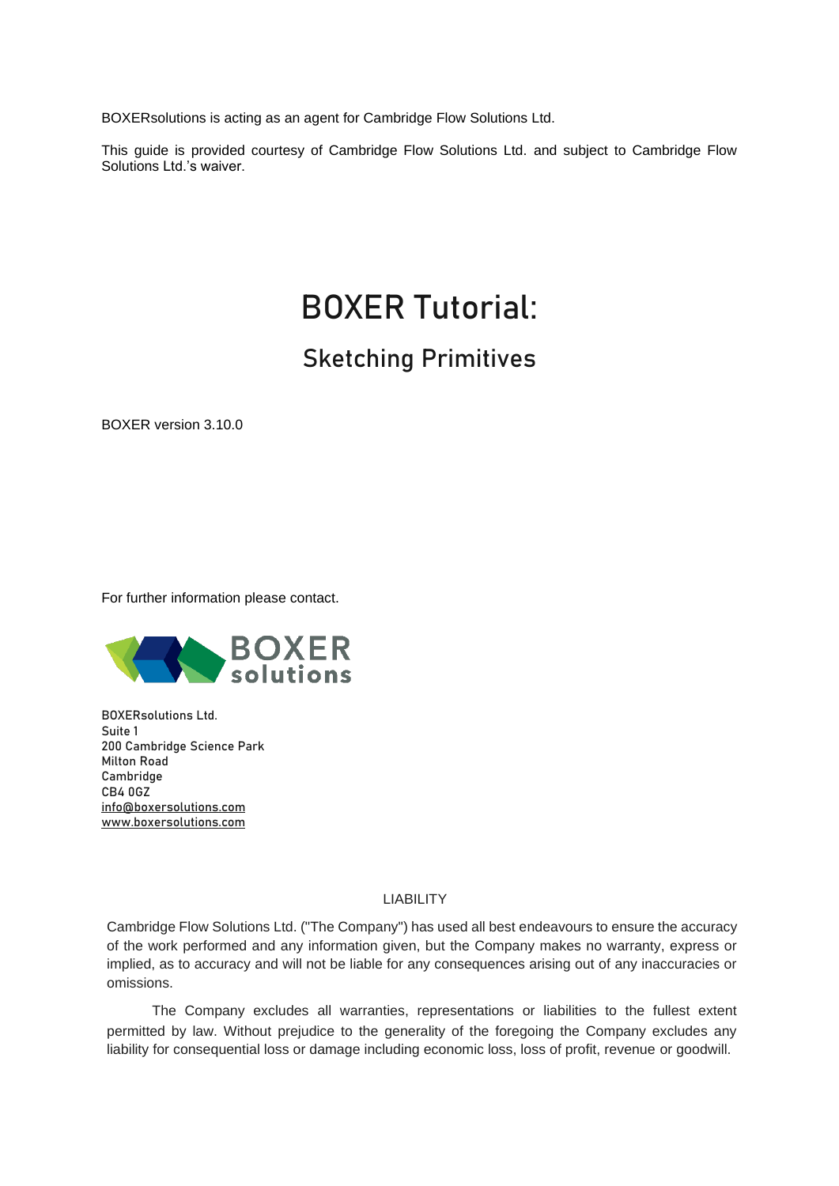BOXERsolutions is acting as an agent for Cambridge Flow Solutions Ltd.

This guide is provided courtesy of Cambridge Flow Solutions Ltd. and subject to Cambridge Flow Solutions Ltd.'s waiver.

# BOXER Tutorial:

## Sketching Primitives

BOXER version 3.10.0

For further information please contact.



BOXERsolutions Ltd. Suite 1 200 Cambridge Science Park Milton Road Cambridge CB4 0GZ [info@boxersolutions.com](mailto:info@boxersolutions.com) [www.boxersolutions.com](http://www.boxersolutions.com/)

#### LIABILITY

Cambridge Flow Solutions Ltd. ("The Company") has used all best endeavours to ensure the accuracy of the work performed and any information given, but the Company makes no warranty, express or implied, as to accuracy and will not be liable for any consequences arising out of any inaccuracies or omissions.

The Company excludes all warranties, representations or liabilities to the fullest extent permitted by law. Without prejudice to the generality of the foregoing the Company excludes any liability for consequential loss or damage including economic loss, loss of profit, revenue or goodwill.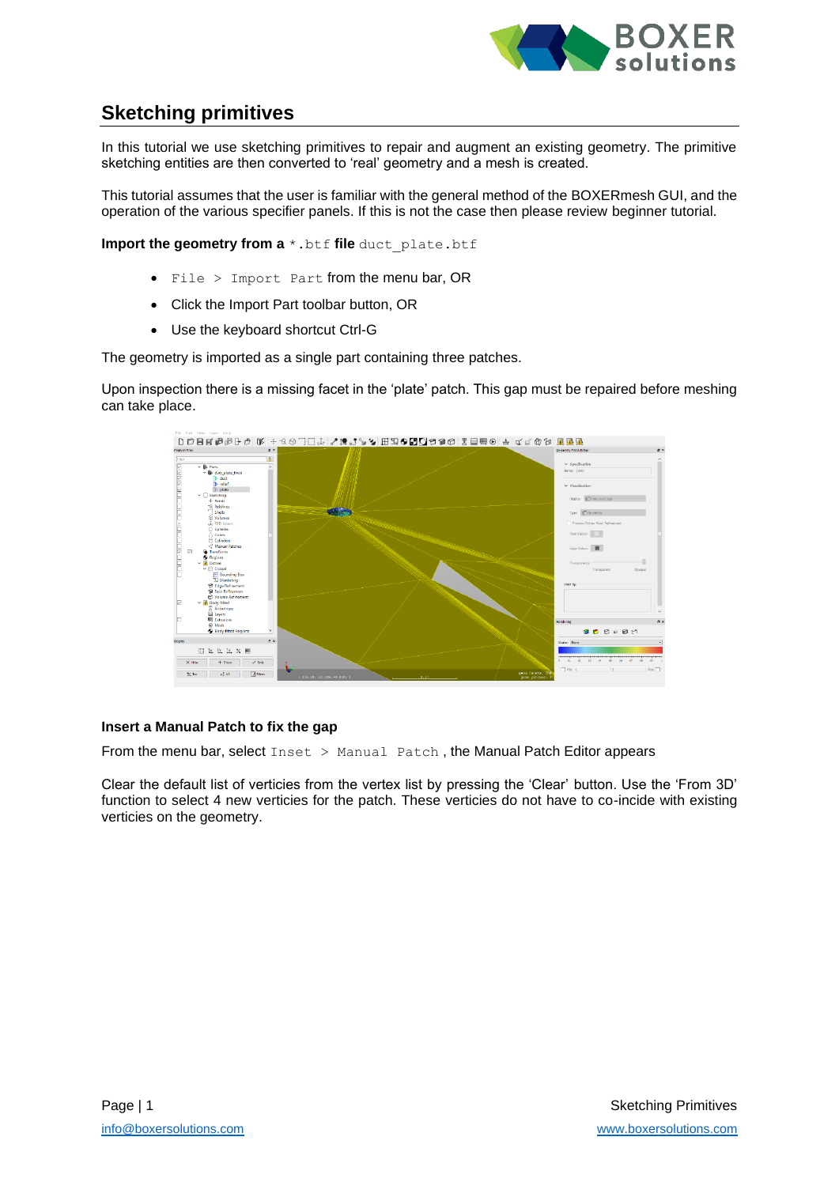

### **Sketching primitives**

In this tutorial we use sketching primitives to repair and augment an existing geometry. The primitive sketching entities are then converted to 'real' geometry and a mesh is created.

This tutorial assumes that the user is familiar with the general method of the BOXERmesh GUI, and the operation of the various specifier panels. If this is not the case then please review beginner tutorial.

**Import the geometry from a**  $*$ . btf **file** duct plate.btf

- File > Import Part from the menu bar, OR
- Click the Import Part toolbar button, OR
- Use the keyboard shortcut Ctrl-G

The geometry is imported as a single part containing three patches.

Upon inspection there is a missing facet in the 'plate' patch. This gap must be repaired before meshing can take place.



#### **Insert a Manual Patch to fix the gap**

From the menu bar, select Inset > Manual Patch, the Manual Patch Editor appears

Clear the default list of verticies from the vertex list by pressing the 'Clear' button. Use the 'From 3D' function to select 4 new verticies for the patch. These verticies do not have to co-incide with existing verticies on the geometry.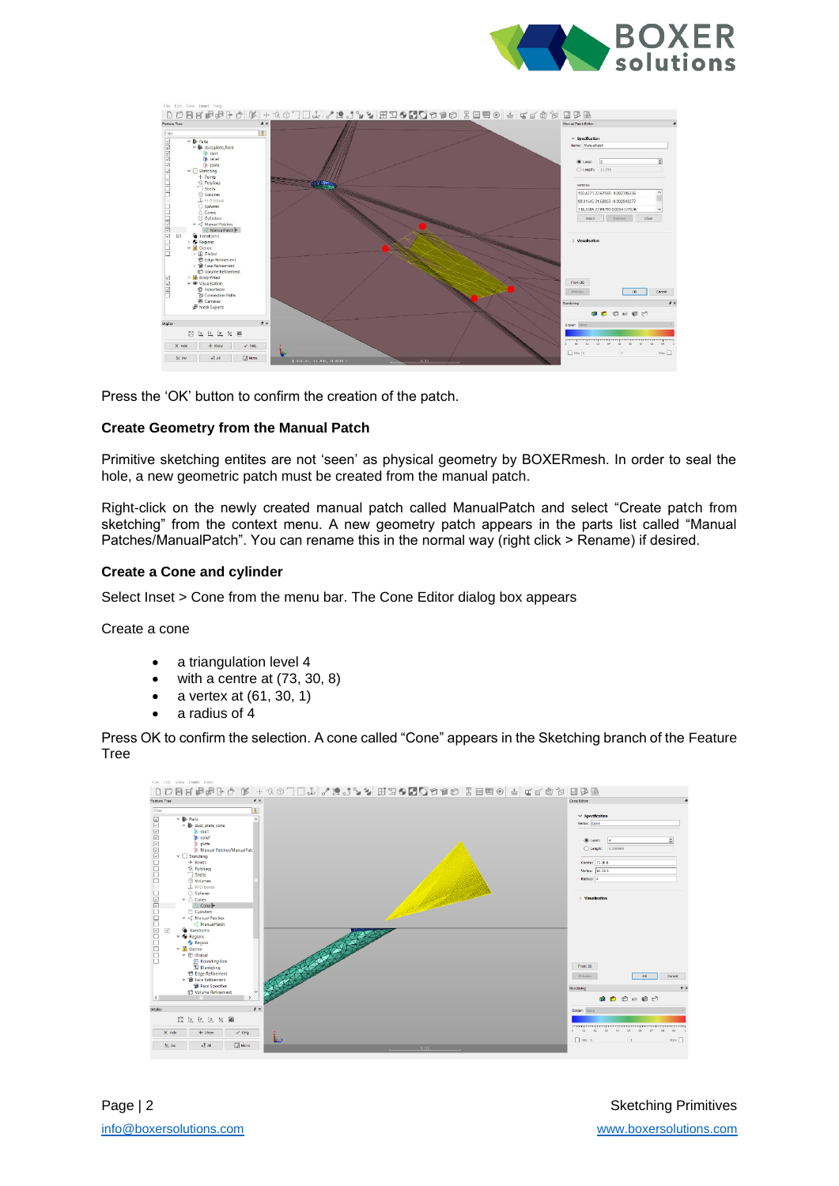



Press the 'OK' button to confirm the creation of the patch.

#### **Create Geometry from the Manual Patch**

Primitive sketching entites are not 'seen' as physical geometry by BOXERmesh. In order to seal the hole, a new geometric patch must be created from the manual patch.

Right-click on the newly created manual patch called ManualPatch and select "Create patch from sketching" from the context menu. A new geometry patch appears in the parts list called "Manual Patches/ManualPatch". You can rename this in the normal way (right click > Rename) if desired.

#### **Create a Cone and cylinder**

Select Inset > Cone from the menu bar. The Cone Editor dialog box appears

Create a cone

- a triangulation level 4
- with a centre at  $(73, 30, 8)$
- a vertex at (61, 30, 1)
- a radius of 4

Press OK to confirm the selection. A cone called "Cone" appears in the Sketching branch of the Feature Tree

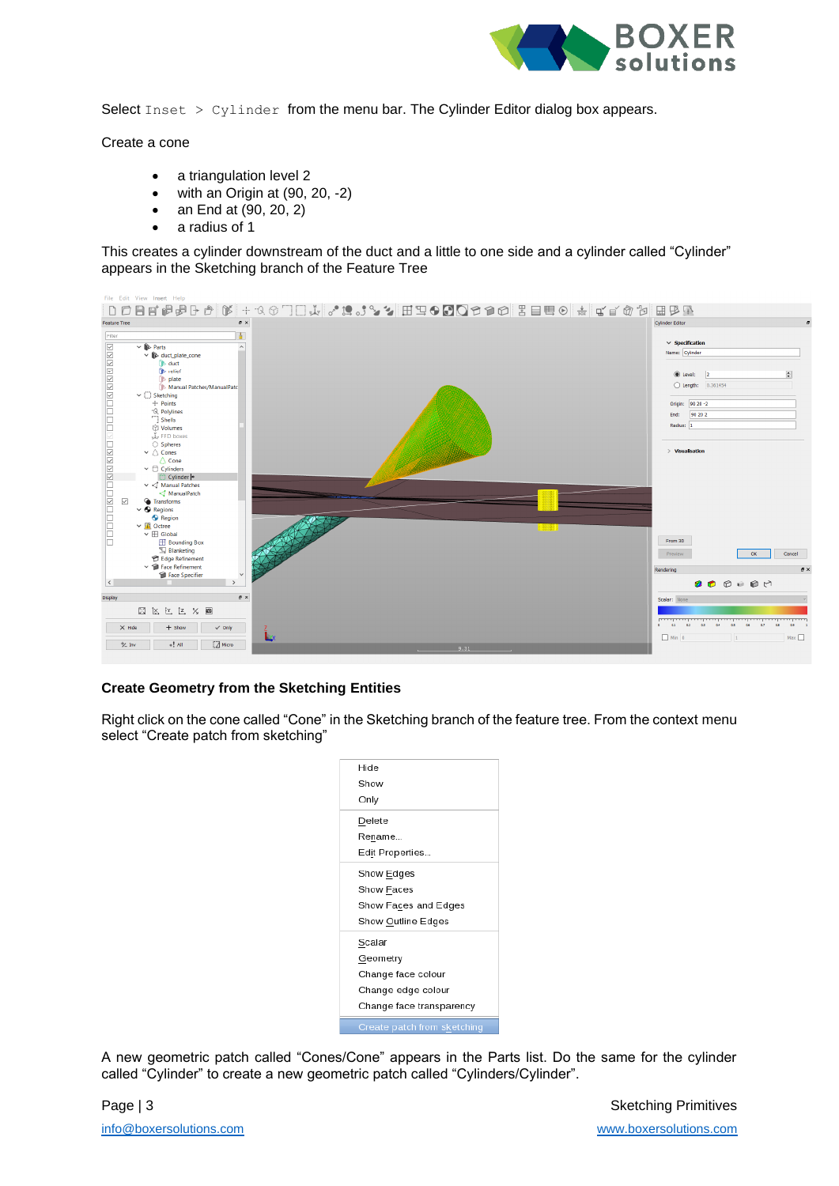

Select  $Insert > Cylinder from the menu bar. The Cylinder Editor dialog box appears.$ 

Create a cone

- a triangulation level 2
- with an Origin at  $(90, 20, -2)$
- an End at (90, 20, 2)
- a radius of 1

This creates a cylinder downstream of the duct and a little to one side and a cylinder called "Cylinder" appears in the Sketching branch of the Feature Tree



#### **Create Geometry from the Sketching Entities**

Right click on the cone called "Cone" in the Sketching branch of the feature tree. From the context menu select "Create patch from sketching"



A new geometric patch called "Cones/Cone" appears in the Parts list. Do the same for the cylinder called "Cylinder" to create a new geometric patch called "Cylinders/Cylinder".